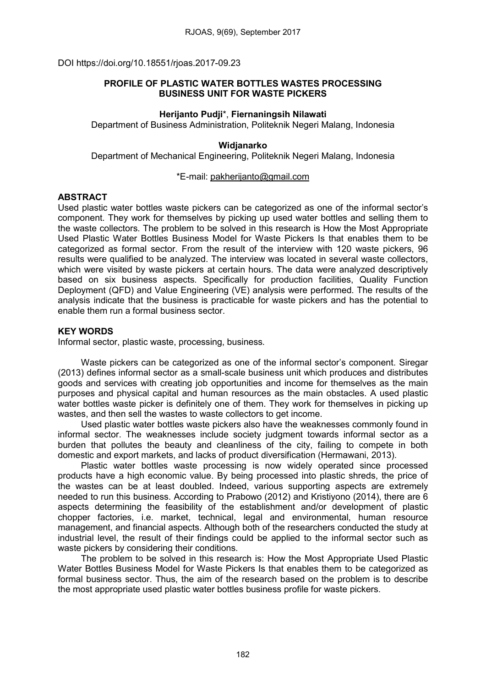DOI https://doi.org/10.18551/rjoas.2017-09.23

# PROFILE OF PLASTIC WATER BOTTLES WASTES PROCESSING BUSINESS UNIT FOR WASTE PICKERS

# Herijanto Pudji\*, Fiernaningsih Nilawati

Department of Business Administration, Politeknik Negeri Malang, Indonesia

## Widjanarko

Department of Mechanical Engineering, Politeknik Negeri Malang, Indonesia

## \*E-mail: [pakherijanto@gmail.com](mailto:pakherijanto@gmail.com)

# **ABSTRACT**

Used plastic water bottles waste pickers can be categorized as one of the informal sector's component. They work for themselves by picking up used water bottles and selling them to the waste collectors. The problem to be solved in this research is How the Most Appropriate Used Plastic Water Bottles Business Model for Waste Pickers Is that enables them to be categorized as formal sector. From the result of the interview with 120 waste pickers, 96 results were qualified to be analyzed. The interview was located in several waste collectors, which were visited by waste pickers at certain hours. The data were analyzed descriptively based on six business aspects. Specifically for production facilities, Quality Function Deployment (QFD) and Value Engineering (VE) analysis were performed. The results of the analysis indicate that the business is practicable for waste pickers and has the potential to enable them run a formal business sector.

# KEY WORDS

Informal sector, plastic waste, processing, business*.*

Waste pickers can be categorized as one of the informal sector's component. Siregar (2013) defines informal sector as a small-scale business unit which produces and distributes goods and services with creating job opportunities and income for themselves as the main purposes and physical capital and human resources as the main obstacles. A used plastic water bottles waste picker is definitely one of them. They work for themselves in picking up wastes, and then sell the wastes to waste collectors to get income.

Used plastic water bottles waste pickers also have the weaknesses commonly found in informal sector. The weaknesses include society judgment towards informal sector as a burden that pollutes the beauty and cleanliness of the city, failing to compete in both domestic and export markets, and lacks of product diversification (Hermawani, 2013).

Plastic water bottles waste processing is now widely operated since processed products have a high economic value. By being processed into plastic shreds, the price of the wastes can be at least doubled. Indeed, various supporting aspects are extremely needed to run this business. According to Prabowo (2012) and Kristiyono (2014), there are 6 aspects determining the feasibility of the establishment and/or development of plastic chopper factories, i.e. market, technical, legal and environmental, human resource management, and financial aspects. Although both of the researchers conducted the study at industrial level, the result of their findings could be applied to the informal sector such as waste pickers by considering their conditions.

The problem to be solved in this research is: How the Most Appropriate Used Plastic Water Bottles Business Model for Waste Pickers Is that enables them to be categorized as formal business sector. Thus, the aim of the research based on the problem is to describe the most appropriate used plastic water bottles business profile for waste pickers.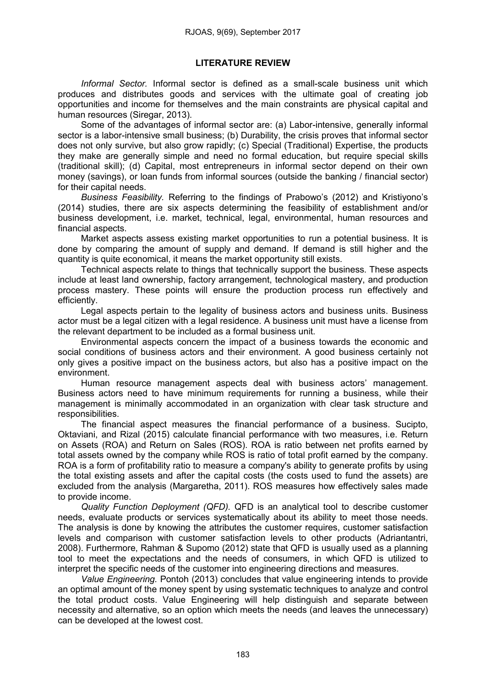# LITERATURE REVIEW

*Informal Sector.* Informal sector is defined as a small-scale business unit which produces and distributes goods and services with the ultimate goal of creating job opportunities and income for themselves and the main constraints are physical capital and human resources (Siregar, 2013).

Some of the advantages of informal sector are: (a) Labor-intensive, generally informal sector is a labor-intensive small business; (b) Durability, the crisis proves that informal sector does not only survive, but also grow rapidly; (c) Special (Traditional) Expertise, the products they make are generally simple and need no formal education, but require special skills (traditional skill); (d) Capital, most entrepreneurs in informal sector depend on their own money (savings), or loan funds from informal sources (outside the banking / financial sector) for their capital needs.

*Business Feasibility.* Referring to the findings of Prabowo's (2012) and Kristiyono's (2014) studies, there are six aspects determining the feasibility of establishment and/or business development, i.e. market, technical, legal, environmental, human resources and financial aspects.

Market aspects assess existing market opportunities to run a potential business. It is done by comparing the amount of supply and demand. If demand is still higher and the quantity is quite economical, it means the market opportunity still exists.

Technical aspects relate to things that technically support the business. These aspects include at least land ownership, factory arrangement, technological mastery, and production process mastery. These points will ensure the production process run effectively and efficiently.

Legal aspects pertain to the legality of business actors and business units. Business actor must be a legal citizen with a legal residence. A business unit must have a license from the relevant department to be included as a formal business unit.

Environmental aspects concern the impact of a business towards the economic and social conditions of business actors and their environment. A good business certainly not only gives a positive impact on the business actors, but also has a positive impact on the environment.

Human resource management aspects deal with business actors' management. Business actors need to have minimum requirements for running a business, while their management is minimally accommodated in an organization with clear task structure and responsibilities.

The financial aspect measures the financial performance of a business. Sucipto, Oktaviani, and Rizal (2015) calculate financial performance with two measures, i.e. Return on Assets (ROA) and Return on Sales (ROS). ROA is ratio between net profits earned by total assets owned by the company while ROS is ratio of total profit earned by the company. ROA is a form of profitability ratio to measure a company's ability to generate profits by using the total existing assets and after the capital costs (the costs used to fund the assets) are excluded from the analysis (Margaretha, 2011). ROS measures how effectively sales made to provide income.

*Quality Function Deployment (QFD).* QFD is an analytical tool to describe customer needs, evaluate products or services systematically about its ability to meet those needs. The analysis is done by knowing the attributes the customer requires, customer satisfaction levels and comparison with customer satisfaction levels to other products (Adriantantri, 2008). Furthermore, Rahman & Supomo (2012) state that QFD is usually used as a planning tool to meet the expectations and the needs of consumers, in which QFD is utilized to interpret the specific needs of the customer into engineering directions and measures.

*Value Engineering.* Pontoh (2013) concludes that value engineering intends to provide an optimal amount of the money spent by using systematic techniques to analyze and control the total product costs. Value Engineering will help distinguish and separate between necessity and alternative, so an option which meets the needs (and leaves the unnecessary) can be developed at the lowest cost.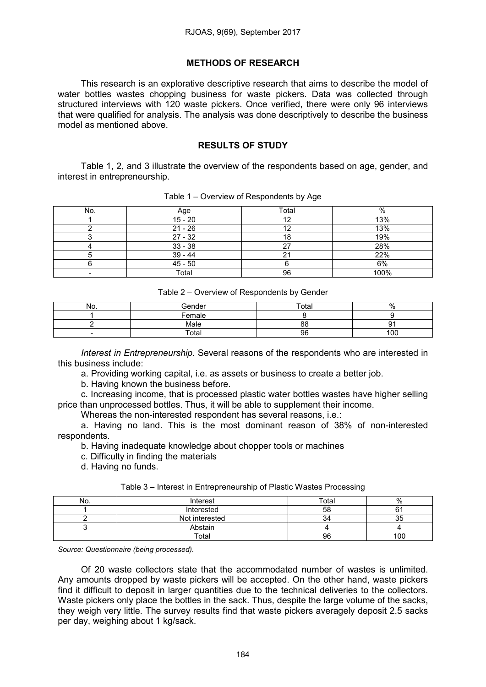## METHODS OF RESEARCH

This research is an explorative descriptive research that aims to describe the model of water bottles wastes chopping business for waste pickers. Data was collected through structured interviews with 120 waste pickers. Once verified, there were only 96 interviews that were qualified for analysis. The analysis was done descriptively to describe the business model as mentioned above.

## RESULTS OF STUDY

Table 1, 2, and 3 illustrate the overview of the respondents based on age, gender, and interest in entrepreneurship.

| No. | Age       | Total | $\%$ |
|-----|-----------|-------|------|
|     | $15 - 20$ | 12    | 13%  |
|     | $21 - 26$ |       | 13%  |
|     | $27 - 32$ |       | 19%  |
|     | $33 - 38$ | רמ    | 28%  |
|     | $39 - 44$ |       | 22%  |
|     | $45 - 50$ |       | 6%   |
|     | Total     | 96    | 100% |

Table 1 – Overview of Respondents by Age

| Table 2 – Overview of Respondents by Gender |  |
|---------------------------------------------|--|
|---------------------------------------------|--|

| NO.                      | Gender | Total | %   |
|--------------------------|--------|-------|-----|
|                          | Female |       |     |
|                          | Male   | 88    | ີ   |
| $\overline{\phantom{0}}$ | Total  | 96    | 100 |

*Interest in Entrepreneurship.* Several reasons of the respondents who are interested in this business include:

a. Providing working capital, i.e. as assets or business to create a better job.

b. Having known the business before.

c. Increasing income, that is processed plastic water bottles wastes have higher selling price than unprocessed bottles. Thus, it will be able to supplement their income.

Whereas the non-interested respondent has several reasons, i.e.:

a. Having no land. This is the most dominant reason of 38% of non-interested respondents.

b. Having inadequate knowledge about chopper tools or machines

c. Difficulty in finding the materials

d. Having no funds.

|  | Table 3 – Interest in Entrepreneurship of Plastic Wastes Processing |
|--|---------------------------------------------------------------------|
|  |                                                                     |

| No. | Interest       | Total | $\%$ |
|-----|----------------|-------|------|
|     | Interested     | 58    | ີ    |
|     | Not interested |       | კე   |
|     | Abstain        |       |      |
|     | $\tau$ otar    | 96    | 100  |

*Source: Questionnaire (being processed).*

Of 20 waste collectors state that the accommodated number of wastes is unlimited. Any amounts dropped by waste pickers will be accepted. On the other hand, waste pickers find it difficult to deposit in larger quantities due to the technical deliveries to the collectors. Waste pickers only place the bottles in the sack. Thus, despite the large volume of the sacks, they weigh very little. The survey results find that waste pickers averagely deposit 2.5 sacks per day, weighing about 1 kg/sack.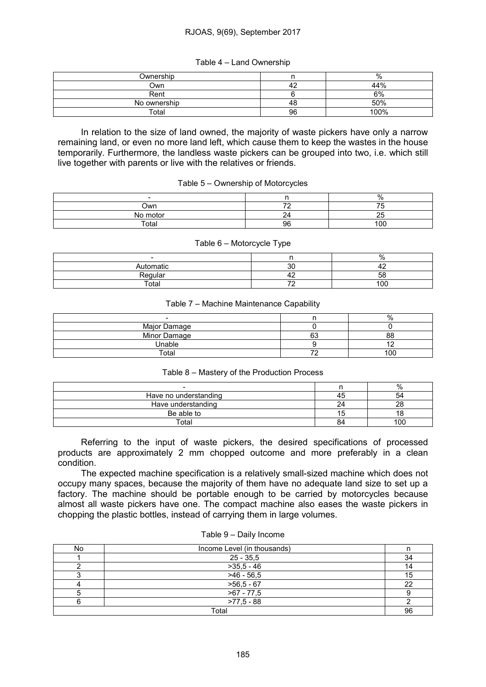## RJOAS, 9(69), September 2017

| Ownership    |    | %       |
|--------------|----|---------|
| Own          |    | 44%     |
| Rent         |    | 6%      |
| No ownership | 4C | 50%     |
| ™otal        | 96 | $100\%$ |

In relation to the size of land owned, the majority of waste pickers have only a narrow remaining land, or even no more land left, which cause them to keep the wastes in the house temporarily. Furthermore, the landless waste pickers can be grouped into two, i.e. which still live together with parents or live with the relatives or friends.

|          |    | $\%$    |
|----------|----|---------|
| Own      |    |         |
| No motor | ∼  | --<br>້ |
| Total    | 96 | 100     |

#### Table 6 – Motorcycle Type

| $\overline{\phantom{0}}$ |           | %         |
|--------------------------|-----------|-----------|
| Automatic                | oc<br>ັບເ |           |
| Regular                  | ட         | r c<br>ხბ |
| Total                    | --        | 100       |

### Table 7 – Machine Maintenance Capability

|              |              | $\%$            |
|--------------|--------------|-----------------|
| Major Damage |              |                 |
| Minor Damage | $\sim$<br>U. | 88              |
| Jnable       |              |                 |
| Total        |              | 10 <sup>c</sup> |

## Table 8 – Mastery of the Production Process

|                       |    | %   |
|-----------------------|----|-----|
| Have no understanding | 45 | 54  |
| Have understanding    | 24 | ററ  |
| Be able to            |    | ١č  |
| Total                 | 84 | 100 |

Referring to the input of waste pickers, the desired specifications of processed products are approximately 2 mm chopped outcome and more preferably in a clean condition.

The expected machine specification is a relatively small-sized machine which does not occupy many spaces, because the majority of them have no adequate land size to set up a factory. The machine should be portable enough to be carried by motorcycles because almost all waste pickers have one. The compact machine also eases the waste pickers in chopping the plastic bottles, instead of carrying them in large volumes.

| No | Income Level (in thousands) |    |
|----|-----------------------------|----|
|    | $25 - 35,5$                 | 34 |
|    | $>35,5 - 46$                | 14 |
|    | $>46 - 56,5$                | 15 |
|    | $>56,5-67$                  | 22 |
|    | $>67 - 77,5$                |    |
|    | $>77,5 - 88$                |    |
|    | Total                       | 96 |

#### Table 9 – Daily Income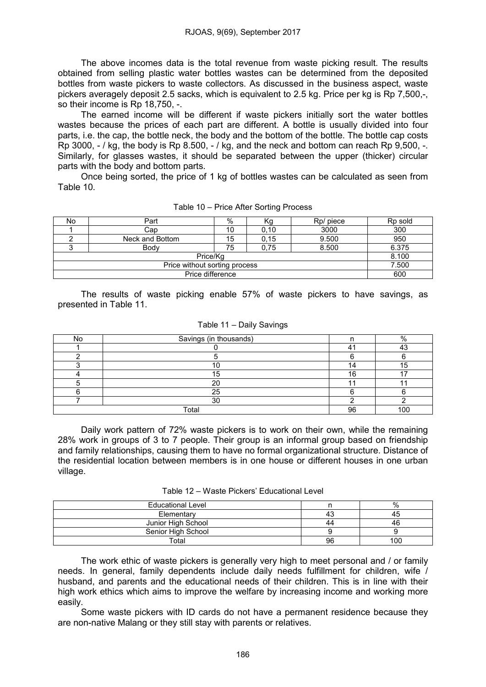The above incomes data is the total revenue from waste picking result. The results obtained from selling plastic water bottles wastes can be determined from the deposited bottles from waste pickers to waste collectors. As discussed in the business aspect, waste pickers averagely deposit 2.5 sacks, which is equivalent to 2.5 kg. Price per kg is Rp 7,500,-, so their income is Rp 18,750, -.

The earned income will be different if waste pickers initially sort the water bottles wastes because the prices of each part are different. A bottle is usually divided into four parts, i.e. the cap, the bottle neck, the body and the bottom of the bottle. The bottle cap costs Rp 3000,  $-$  / kg, the body is Rp 8.500,  $-$  / kg, and the neck and bottom can reach Rp 9,500,  $-$ . Similarly, for glasses wastes, it should be separated between the upper (thicker) circular parts with the body and bottom parts.

Once being sorted, the price of 1 kg of bottles wastes can be calculated as seen from Table 10.

| No               | Part            | %  | rч   | Rp/ piece | Rp sold |
|------------------|-----------------|----|------|-----------|---------|
|                  | Cap             | 10 | 0,10 | 3000      | 300     |
|                  | Neck and Bottom | 15 | 0,15 | 9.500     | 950     |
|                  | Body            | 75 | 0.75 | 8.500     | 6.375   |
|                  | 8.100           |    |      |           |         |
|                  | 7.500           |    |      |           |         |
| Price difference |                 |    |      |           | 600     |

Table 10 – Price After Sorting Process

The results of waste picking enable 57% of waste pickers to have savings, as presented in Table 11.

| No | Savings (in thousands) |     | $\Omega$ |
|----|------------------------|-----|----------|
|    |                        |     |          |
|    |                        |     |          |
|    |                        |     |          |
|    |                        | 1 C |          |
|    |                        |     |          |
|    |                        |     |          |
|    | 30                     |     |          |
|    | Total                  | 96  | 1 $\cap$ |

Daily work pattern of 72% waste pickers is to work on their own, while the remaining 28% work in groups of 3 to 7 people. Their group is an informal group based on friendship and family relationships, causing them to have no formal organizational structure. Distance of the residential location between members is in one house or different houses in one urban village.

| Table 12 – Waste Pickers' Educational Level |  |  |  |
|---------------------------------------------|--|--|--|
|---------------------------------------------|--|--|--|

| <b>Educational Level</b> |    | %   |
|--------------------------|----|-----|
| Elementary               | 43 |     |
| Junior High School       | 44 | 4c  |
| Senior High School       |    |     |
| Total                    | 96 | 100 |

The work ethic of waste pickers is generally very high to meet personal and / or family needs. In general, family dependents include daily needs fulfillment for children, wife / husband, and parents and the educational needs of their children. This is in line with their high work ethics which aims to improve the welfare by increasing income and working more easily.

Some waste pickers with ID cards do not have a permanent residence because they are non-native Malang or they still stay with parents or relatives.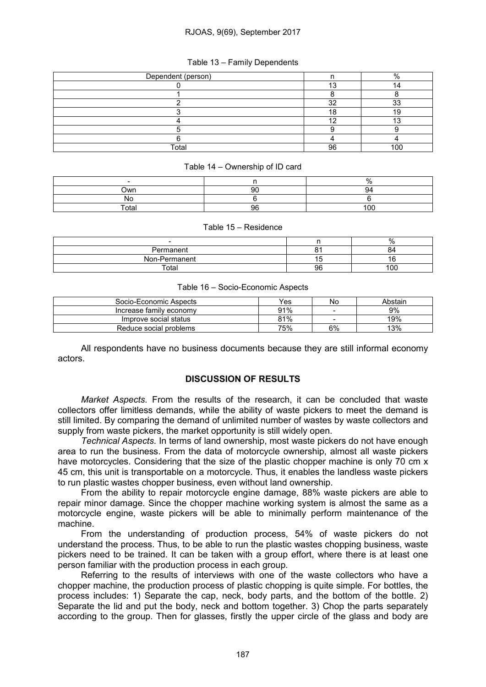## RJOAS, 9(69), September 2017

| Dependent (person) |          | %      |
|--------------------|----------|--------|
|                    | "        |        |
|                    |          |        |
|                    | $\Omega$ | $\sim$ |
|                    |          |        |
|                    |          |        |
|                    |          |        |
|                    |          |        |
| Total              | 96       | 100    |

## Table 13 – Family Dependents

### Table 14 – Ownership of ID card

| $\overline{\phantom{0}}$ |    | .,, |
|--------------------------|----|-----|
| Own                      | 90 | u4  |
| No                       |    |     |
| Total                    | 96 | 100 |

#### Table 15 – Residence

| $\overline{\phantom{a}}$ |    | %   |
|--------------------------|----|-----|
| Permanent                |    | 04  |
| Non-Permanent            | ı٥ |     |
| Total                    | 96 | 100 |

## Table 16 – Socio-Economic Aspects

| Socio-Economic Aspects  | Yes | No | Abstain |
|-------------------------|-----|----|---------|
| Increase family economy | 91% | -  | 9%      |
| Improve social status   | 81% | -  | 19%     |
| Reduce social problems  | 75% | 6% | 13%     |

All respondents have no business documents because they are still informal economy actors.

# DISCUSSION OF RESULTS

*Market Aspects.* From the results of the research, it can be concluded that waste collectors offer limitless demands, while the ability of waste pickers to meet the demand is still limited. By comparing the demand of unlimited number of wastes by waste collectors and supply from waste pickers, the market opportunity is still widely open.

*Technical Aspects.* In terms of land ownership, most waste pickers do not have enough area to run the business. From the data of motorcycle ownership, almost all waste pickers have motorcycles. Considering that the size of the plastic chopper machine is only 70 cm x 45 cm, this unit is transportable on a motorcycle. Thus, it enables the landless waste pickers to run plastic wastes chopper business, even without land ownership.

From the ability to repair motorcycle engine damage, 88% waste pickers are able to repair minor damage. Since the chopper machine working system is almost the same as a motorcycle engine, waste pickers will be able to minimally perform maintenance of the machine.

From the understanding of production process, 54% of waste pickers do not understand the process. Thus, to be able to run the plastic wastes chopping business, waste pickers need to be trained. It can be taken with a group effort, where there is at least one person familiar with the production process in each group.

Referring to the results of interviews with one of the waste collectors who have a chopper machine, the production process of plastic chopping is quite simple. For bottles, the process includes: 1) Separate the cap, neck, body parts, and the bottom of the bottle. 2) Separate the lid and put the body, neck and bottom together. 3) Chop the parts separately according to the group. Then for glasses, firstly the upper circle of the glass and body are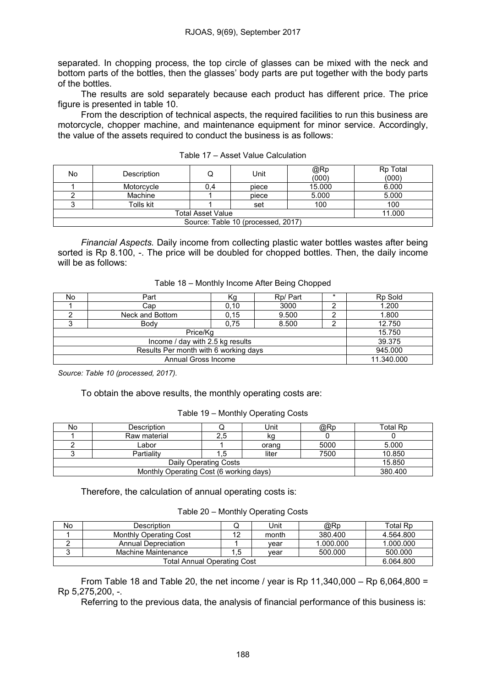separated. In chopping process, the top circle of glasses can be mixed with the neck and bottom parts of the bottles, then the glasses' body parts are put together with the body parts of the bottles.

The results are sold separately because each product has different price. The price figure is presented in table 10.

From the description of technical aspects, the required facilities to run this business are motorcycle, chopper machine, and maintenance equipment for minor service. Accordingly, the value of the assets required to conduct the business is as follows:

| No                                 | Description |     | Unit  | @Rp<br>(000) | Rp Total<br>(000) |
|------------------------------------|-------------|-----|-------|--------------|-------------------|
|                                    | Motorcycle  | 0.4 | piece | 15.000       | 6.000             |
|                                    | Machine     |     | piece | 5.000        | 5.000             |
|                                    | Tolls kit   |     | set   | 100          | 100               |
|                                    | 11.000      |     |       |              |                   |
| Source: Table 10 (processed, 2017) |             |     |       |              |                   |

Table 17 – Asset Value Calculation

*Financial Aspects.* Daily income from collecting plastic water bottles wastes after being sorted is Rp 8.100, -. The price will be doubled for chopped bottles. Then, the daily income will be as follows:

| No | Part            | K.g  | Rp/ Part |  | Rp Sold |
|----|-----------------|------|----------|--|---------|
|    | Cap             | 0,10 | 3000     |  | 1.200   |
|    | Neck and Bottom | 0,15 | 9.500    |  | 1.800   |
|    | Body            | 0.75 | 8.500    |  | 12.750  |
|    | 15.750          |      |          |  |         |
|    | 39.375          |      |          |  |         |
|    | 945.000         |      |          |  |         |
|    | 11.340.000      |      |          |  |         |

*Source: Table 10 (processed, 2017).*

To obtain the above results, the monthly operating costs are:

## Table 19 – Monthly Operating Costs

| No | Description  | Unit  | @Rp  | Total Rp |
|----|--------------|-------|------|----------|
|    | Raw material | κg    |      |          |
|    | _abor        | orang | 5000 | 5.000    |
|    | Partialitv   | liter | 7500 | 10.850   |
|    | 15.850       |       |      |          |
|    | 380,400      |       |      |          |

Therefore, the calculation of annual operating costs is:

Table 20 – Monthly Operating Costs

| No | Description            |    | Unit  | @Rp       | Total Rp  |
|----|------------------------|----|-------|-----------|-----------|
|    | Monthly Operating Cost | ィウ | month | 380.400   | 4.564.800 |
|    | Annual Depreciation    |    | vear  | 1.000.000 | 1.000.000 |
|    | Machine Maintenance    | .5 | vear  | 500.000   | 500.000   |
|    | 6.064.800              |    |       |           |           |

From Table 18 and Table 20, the net income / year is Rp 11,340,000 – Rp 6,064,800 = Rp 5,275,200, -.

Referring to the previous data, the analysis of financial performance of this business is: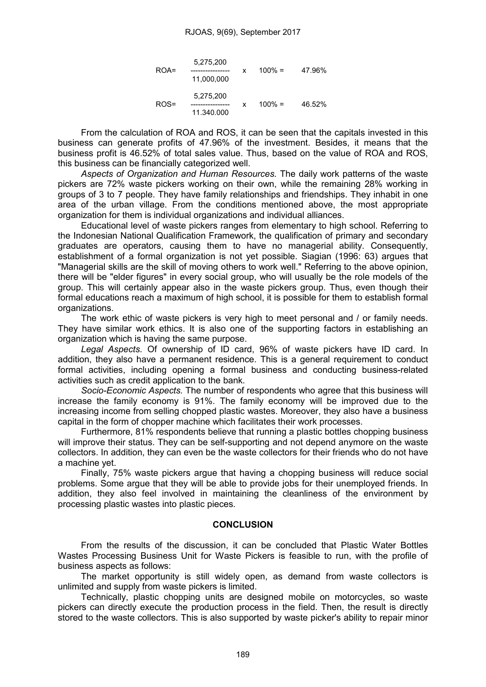### RJOAS, 9(69), September 2017

| $ROA =$ | 5,275,200<br>11,000,000 | x | $100\% =$ | 47.96% |
|---------|-------------------------|---|-----------|--------|
| ROS=    | 5,275,200<br>11.340.000 | x | $100\% =$ | 46.52% |

From the calculation of ROA and ROS, it can be seen that the capitals invested in this business can generate profits of 47.96% of the investment. Besides, it means that the business profit is 46.52% of total sales value. Thus, based on the value of ROA and ROS, this business can be financially categorized well.

*Aspects of Organization and Human Resources.* The daily work patterns of the waste pickers are 72% waste pickers working on their own, while the remaining 28% working in groups of 3 to 7 people. They have family relationships and friendships. They inhabit in one area of the urban village. From the conditions mentioned above, the most appropriate organization for them is individual organizations and individual alliances.

Educational level of waste pickers ranges from elementary to high school. Referring to the Indonesian National Qualification Framework, the qualification of primary and secondary graduates are operators, causing them to have no managerial ability. Consequently, establishment of a formal organization is not yet possible. Siagian (1996: 63) argues that "Managerial skills are the skill of moving others to work well." Referring to the above opinion, there will be "elder figures" in every social group, who will usually be the role models of the group. This will certainly appear also in the waste pickers group. Thus, even though their formal educations reach a maximum of high school, it is possible for them to establish formal organizations.

The work ethic of waste pickers is very high to meet personal and / or family needs. They have similar work ethics. It is also one of the supporting factors in establishing an organization which is having the same purpose.

*Legal Aspects.* Of ownership of ID card, 96% of waste pickers have ID card. In addition, they also have a permanent residence. This is a general requirement to conduct formal activities, including opening a formal business and conducting business-related activities such as credit application to the bank.

*Socio-Economic Aspects.* The number of respondents who agree that this business will increase the family economy is 91%. The family economy will be improved due to the increasing income from selling chopped plastic wastes. Moreover, they also have a business capital in the form of chopper machine which facilitates their work processes.

Furthermore, 81% respondents believe that running a plastic bottles chopping business will improve their status. They can be self-supporting and not depend anymore on the waste collectors. In addition, they can even be the waste collectors for their friends who do not have a machine yet.

Finally, 75% waste pickers argue that having a chopping business will reduce social problems. Some argue that they will be able to provide jobs for their unemployed friends. In addition, they also feel involved in maintaining the cleanliness of the environment by processing plastic wastes into plastic pieces.

## **CONCLUSION**

From the results of the discussion, it can be concluded that Plastic Water Bottles Wastes Processing Business Unit for Waste Pickers is feasible to run, with the profile of business aspects as follows:

The market opportunity is still widely open, as demand from waste collectors is unlimited and supply from waste pickers is limited.

Technically, plastic chopping units are designed mobile on motorcycles, so waste pickers can directly execute the production process in the field. Then, the result is directly stored to the waste collectors. This is also supported by waste picker's ability to repair minor